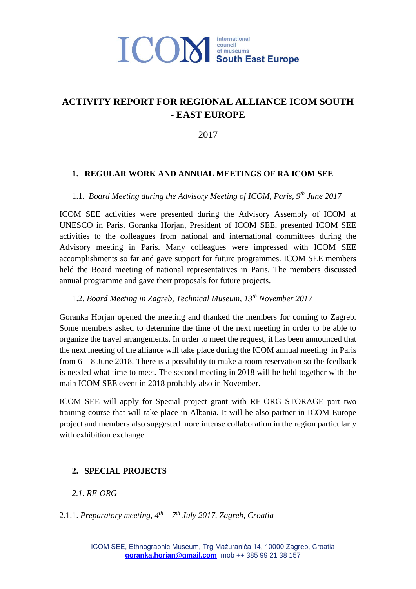

### **ACTIVITY REPORT FOR REGIONAL ALLIANCE ICOM SOUTH - EAST EUROPE**

2017

#### **1. REGULAR WORK AND ANNUAL MEETINGS OF RA ICOM SEE**

#### 1.1. *Board Meeting during the Advisory Meeting of ICOM, Paris, 9th June 2017*

ICOM SEE activities were presented during the Advisory Assembly of ICOM at UNESCO in Paris. Goranka Horjan, President of ICOM SEE, presented ICOM SEE activities to the colleagues from national and international committees during the Advisory meeting in Paris. Many colleagues were impressed with ICOM SEE accomplishments so far and gave support for future programmes. ICOM SEE members held the Board meeting of national representatives in Paris. The members discussed annual programme and gave their proposals for future projects.

#### 1.2. *Board Meeting in Zagreb, Technical Museum, 13th November 2017*

Goranka Horjan opened the meeting and thanked the members for coming to Zagreb. Some members asked to determine the time of the next meeting in order to be able to organize the travel arrangements. In order to meet the request, it has been announced that the next meeting of the alliance will take place during the ICOM annual meeting in Paris from 6 – 8 June 2018. There is a possibility to make a room reservation so the feedback is needed what time to meet. The second meeting in 2018 will be held together with the main ICOM SEE event in 2018 probably also in November.

ICOM SEE will apply for Special project grant with RE-ORG STORAGE part two training course that will take place in Albania. It will be also partner in ICOM Europe project and members also suggested more intense collaboration in the region particularly with exhibition exchange

#### **2. SPECIAL PROJECTS**

#### *2.1. RE-ORG*

#### 2.1.1. *Preparatory meeting, 4 th – 7 th July 2017, Zagreb, Croatia*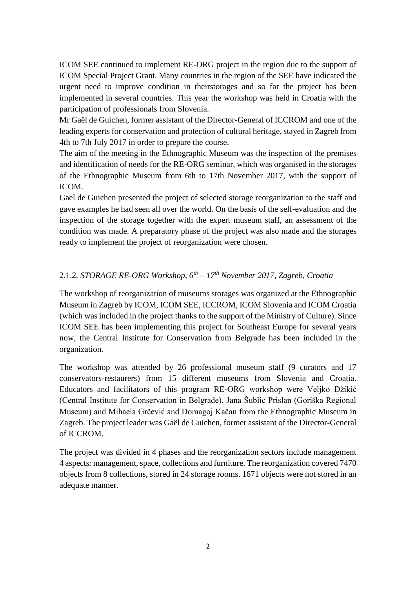ICOM SEE continued to implement RE-ORG project in the region due to the support of ICOM Special Project Grant. Many countries in the region of the SEE have indicated the urgent need to improve condition in theirstorages and so far the project has been implemented in several countries. This year the workshop was held in Croatia with the participation of professionals from Slovenia.

Mr Gaël de Guichen, former assistant of the Director-General of ICCROM and one of the leading experts for conservation and protection of cultural heritage, stayed in Zagreb from 4th to 7th July 2017 in order to prepare the course.

The aim of the meeting in the Ethnographic Museum was the inspection of the premises and identification of needs for the RE-ORG seminar, which was organised in the storages of the Ethnographic Museum from 6th to 17th November 2017, with the support of ICOM.

Gael de Guichen presented the project of selected storage reorganization to the staff and gave examples he had seen all over the world. On the basis of the self-evaluation and the inspection of the storage together with the expert museum staff, an assessment of the condition was made. A preparatory phase of the project was also made and the storages ready to implement the project of reorganization were chosen.

#### 2.1.2*. STORAGE RE-ORG Workshop, 6th – 17th November 2017, Zagreb, Croatia*

The workshop of reorganization of museums storages was organized at the Ethnographic Museum in Zagreb by ICOM, ICOM SEE, ICCROM, ICOM Slovenia and ICOM Croatia (which was included in the project thanks to the support of the Ministry of Culture). Since ICOM SEE has been implementing this project for Southeast Europe for several years now, the Central Institute for Conservation from Belgrade has been included in the organization.

The workshop was attended by 26 professional museum staff (9 curators and 17 conservators-restaurers) from 15 different museums from Slovenia and Croatia. Educators and facilitators of this program RE-ORG workshop were Veljko Džikić (Central Institute for Conservation in Belgrade), Jana Šublic Prislan (Goriška Regional Museum) and Mihaela Grčević and Domagoj Kačan from the Ethnographic Museum in Zagreb. The project leader was Gaël de Guichen, former assistant of the Director-General of ICCROM.

The project was divided in 4 phases and the reorganization sectors include management 4 aspects: management, space, collections and furniture. The reorganization covered 7470 objects from 8 collections, stored in 24 storage rooms. 1671 objects were not stored in an adequate manner.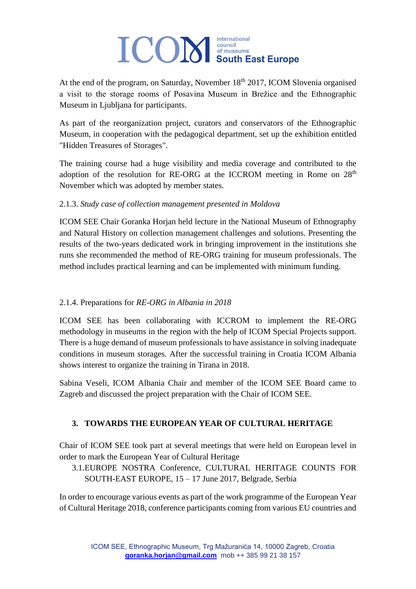# **TCOM** South East Europe

At the end of the program, on Saturday, November  $18<sup>th</sup> 2017$ , ICOM Slovenia organised a visit to the storage rooms of Posavina Museum in Brežice and the Ethnographic Museum in Ljubljana for participants.

As part of the reorganization project, curators and conservators of the Ethnographic Museum, in cooperation with the pedagogical department, set up the exhibition entitled "Hidden Treasures of Storages".

The training course had a huge visibility and media coverage and contributed to the adoption of the resolution for RE-ORG at the ICCROM meeting in Rome on  $28<sup>th</sup>$ November which was adopted by member states.

#### 2.1.3. *Study case of collection management presented in Moldova*

ICOM SEE Chair Goranka Horjan held lecture in the National Museum of Ethnography and Natural History on collection management challenges and solutions. Presenting the results of the two-years dedicated work in bringing improvement in the institutions she runs she recommended the method of RE-ORG training for museum professionals. The method includes practical learning and can be implemented with minimum funding.

#### 2.1.4. Preparations for *RE-ORG in Albania in 2018*

ICOM SEE has been collaborating with ICCROM to implement the RE-ORG methodology in museums in the region with the help of ICOM Special Projects support. There is a huge demand of museum professionals to have assistance in solving inadequate conditions in museum storages. After the successful training in Croatia ICOM Albania shows interest to organize the training in Tirana in 2018.

Sabina Veseli, ICOM Albania Chair and member of the ICOM SEE Board came to Zagreb and discussed the project preparation with the Chair of ICOM SEE.

#### **3. TOWARDS THE EUROPEAN YEAR OF CULTURAL HERITAGE**

Chair of ICOM SEE took part at several meetings that were held on European level in order to mark the European Year of Cultural Heritage

3.1.EUROPE NOSTRA Conference, CULTURAL HERITAGE COUNTS FOR SOUTH-EAST EUROPE, 15 – 17 June 2017, Belgrade, Serbia

In order to encourage various events as part of the work programme of the European Year of Cultural Heritage 2018, conference participants coming from various EU countries and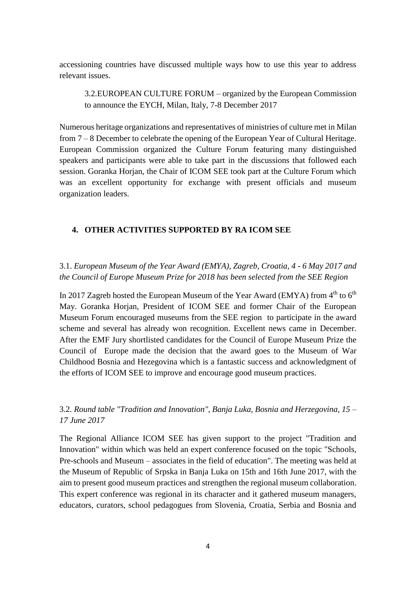accessioning countries have discussed multiple ways how to use this year to address relevant issues.

3.2.EUROPEAN CULTURE FORUM – organized by the European Commission to announce the EYCH, Milan, Italy, 7-8 December 2017

Numerous heritage organizations and representatives of ministries of culture met in Milan from 7 – 8 December to celebrate the opening of the European Year of Cultural Heritage. European Commission organized the Culture Forum featuring many distinguished speakers and participants were able to take part in the discussions that followed each session. Goranka Horjan, the Chair of ICOM SEE took part at the Culture Forum which was an excellent opportunity for exchange with present officials and museum organization leaders.

#### **4. OTHER ACTIVITIES SUPPORTED BY RA ICOM SEE**

3.1. *European Museum of the Year Award (EMYA), Zagreb, Croatia, 4 - 6 May 2017 and the Council of Europe Museum Prize for 2018 has been selected from the SEE Region*

In 2017 Zagreb hosted the European Museum of the Year Award (EMYA) from  $4<sup>th</sup>$  to  $6<sup>th</sup>$ May. Goranka Horjan, President of ICOM SEE and former Chair of the European Museum Forum encouraged museums from the SEE region to participate in the award scheme and several has already won recognition. Excellent news came in December. After the EMF Jury shortlisted candidates for the Council of Europe Museum Prize the Council of Europe made the decision that the award goes to the Museum of War Childhood Bosnia and Hezegovina which is a fantastic success and acknowledgment of the efforts of ICOM SEE to improve and encourage good museum practices.

3.2*. Round table "Tradition and Innovation", Banja Luka, Bosnia and Herzegovina, 15 – 17 June 2017* 

The Regional Alliance ICOM SEE has given support to the project "Tradition and Innovation" within which was held an expert conference focused on the topic "Schools, Pre-schools and Museum – associates in the field of education". The meeting was held at the Museum of Republic of Srpska in Banja Luka on 15th and 16th June 2017, with the aim to present good museum practices and strengthen the regional museum collaboration. This expert conference was regional in its character and it gathered museum managers, educators, curators, school pedagogues from Slovenia, Croatia, Serbia and Bosnia and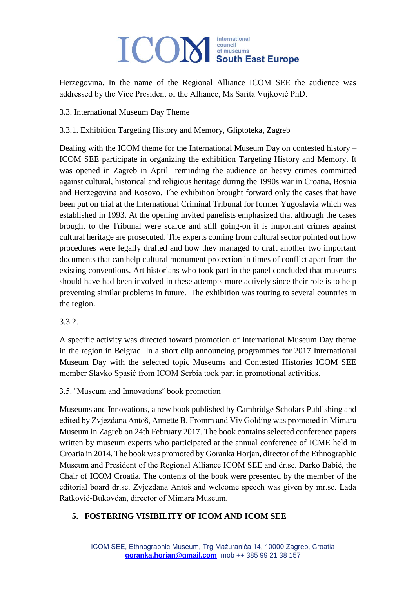## **ICOM** South East Europe international

Herzegovina. In the name of the Regional Alliance ICOM SEE the audience was addressed by the Vice President of the Alliance, Ms Sarita Vujković PhD.

3.3. International Museum Day Theme

#### 3.3.1. Exhibition Targeting History and Memory, Gliptoteka, Zagreb

Dealing with the ICOM theme for the International Museum Day on contested history – ICOM SEE participate in organizing the exhibition Targeting History and Memory. It was opened in Zagreb in April reminding the audience on heavy crimes committed against cultural, historical and religious heritage during the 1990s war in Croatia, Bosnia and Herzegovina and Kosovo. The exhibition brought forward only the cases that have been put on trial at the International Criminal Tribunal for former Yugoslavia which was established in 1993. At the opening invited panelists emphasized that although the cases brought to the Tribunal were scarce and still going-on it is important crimes against cultural heritage are prosecuted. The experts coming from cultural sector pointed out how procedures were legally drafted and how they managed to draft another two important documents that can help cultural monument protection in times of conflict apart from the existing conventions. Art historians who took part in the panel concluded that museums should have had been involved in these attempts more actively since their role is to help preventing similar problems in future. The exhibition was touring to several countries in the region.

#### 3.3.2.

A specific activity was directed toward promotion of International Museum Day theme in the region in Belgrad. In a short clip announcing programmes for 2017 International Museum Day with the selected topic Museums and Contested Histories ICOM SEE member Slavko Spasić from ICOM Serbia took part in promotional activities.

3.5. ˝Museum and Innovations˝ book promotion

Museums and Innovations, a new book published by Cambridge Scholars Publishing and edited by Zvjezdana Antoš, Annette B. Fromm and Viv Golding was promoted in Mimara Museum in Zagreb on 24th February 2017. The book contains selected conference papers written by museum experts who participated at the annual conference of ICME held in Croatia in 2014. The book was promoted by Goranka Horjan, director of the Ethnographic Museum and President of the Regional Alliance ICOM SEE and dr.sc. Darko Babić, the Chair of ICOM Croatia. The contents of the book were presented by the member of the editorial board dr.sc. Zvjezdana Antoš and welcome speech was given by mr.sc. Lada Ratković-Bukovčan, director of Mimara Museum.

#### **5. FOSTERING VISIBILITY OF ICOM AND ICOM SEE**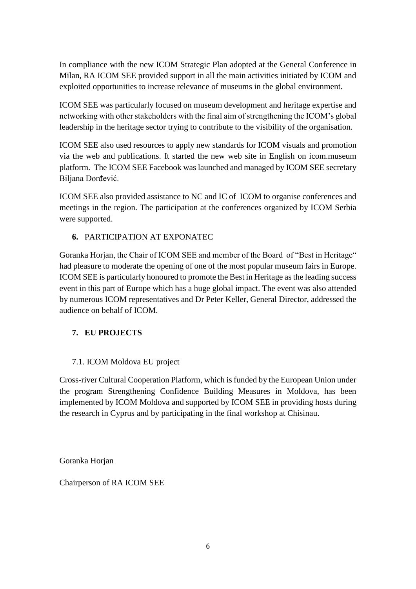In compliance with the new ICOM Strategic Plan adopted at the General Conference in Milan, RA ICOM SEE provided support in all the main activities initiated by ICOM and exploited opportunities to increase relevance of museums in the global environment.

ICOM SEE was particularly focused on museum development and heritage expertise and networking with other stakeholders with the final aim of strengthening the ICOM's global leadership in the heritage sector trying to contribute to the visibility of the organisation.

ICOM SEE also used resources to apply new standards for ICOM visuals and promotion via the web and publications. It started the new web site in English on icom.museum platform. The ICOM SEE Facebook was launched and managed by ICOM SEE secretary Biljana Đorđević.

ICOM SEE also provided assistance to NC and IC of ICOM to organise conferences and meetings in the region. The participation at the conferences organized by ICOM Serbia were supported.

#### **6.** PARTICIPATION AT EXPONATEC

Goranka Horjan, the Chair of ICOM SEE and member of the Board of "Best in Heritage" had pleasure to moderate the opening of one of the most popular museum fairs in Europe. ICOM SEE is particularly honoured to promote the Best in Heritage as the leading success event in this part of Europe which has a huge global impact. The event was also attended by numerous ICOM representatives and Dr Peter Keller, General Director, addressed the audience on behalf of ICOM.

#### **7. EU PROJECTS**

#### 7.1. ICOM Moldova EU project

Cross-river Cultural Cooperation Platform, which is funded by the European Union under the program Strengthening Confidence Building Measures in Moldova, has been implemented by ICOM Moldova and supported by ICOM SEE in providing hosts during the research in Cyprus and by participating in the final workshop at Chisinau.

Goranka Horjan

Chairperson of RA ICOM SEE